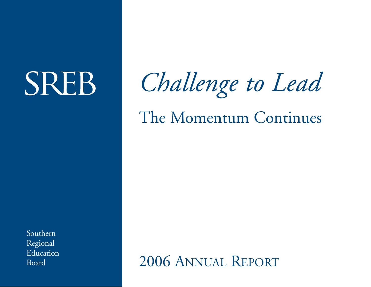# **SREB**

*Challenge to Lead*

The Momentum Continues

Southern Regional Education Board

2006 ANNUAL REPORT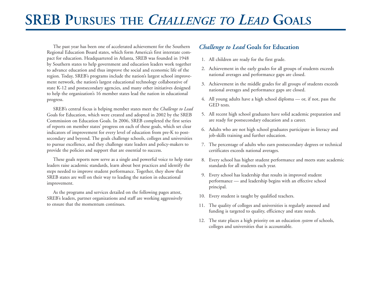# **SREB PURSUES THE** *CHALLENGE TO LEAD* **GOALS**

The past year has been one of accelerated achievement for the Southern Regional Education Board states, which form America's first interstate compact for education. Headquartered in Atlanta, SREB was founded in 1948 by Southern states to help government and education leaders work together to advance education and thus improve the social and economic life of the region. Today, SREB's programs include the nation's largest school improvement network, the nation's largest educational technology collaborative of state K-12 and postsecondary agencies, and many other initiatives designed to help the organization's 16 member states lead the nation in educational progress.

SREB's central focus is helping member states meet the *Challenge to Lead* Goals for Education, which were created and adopted in 2002 by the SREB Commission on Education Goals. In 2006, SREB completed the first series of reports on member states' progress on each of these goals, which set clear indicators of improvement for every level of education from pre-K to postsecondary and beyond. The goals challenge schools, colleges and universities to pursue excellence, and they challenge state leaders and policy-makers to provide the policies and support that are essential to success.

These goals reports now serve as a single and powerful voice to help state leaders raise academic standards, learn about best practices and identify the steps needed to improve student performance. Together, they show that SREB states are well on their way to leading the nation in educational improvement.

As the programs and services detailed on the following pages attest, SREB's leaders, partner organizations and staff are working aggressively to ensure that the momentum continues.

### *Challenge to Lead* **Goals for Education**

- 1. All children are ready for the first grade.
- 2. Achievement in the early grades for all groups of students exceeds national averages and performance gaps are closed.
- 3. Achievement in the middle grades for all groups of students exceeds national averages and performance gaps are closed.
- 4. All young adults have a high school diploma or, if not, pass the GED tests.
- 5. All recent high school graduates have solid academic preparation and are ready for postsecondary education and a career.
- 6. Adults who are not high school graduates participate in literacy and job-skills training and further education.
- 7. The percentage of adults who earn postsecondary degrees or technical certificates exceeds national averages.
- 8. Every school has higher student performance and meets state academic standards for all students each year.
- 9. Every school has leadership that results in improved student performance — and leadership begins with an effective school principal.
- 10. Every student is taught by qualified teachers.
- 11. The quality of colleges and universities is regularly assessed and funding is targeted to quality, efficiency and state needs.
- 12. The state places a high priority on an education *system* of schools, colleges and universities that is accountable.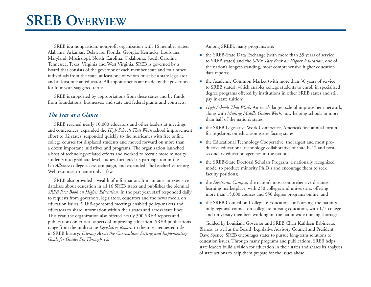SREB is a nonpartisan, nonprofit organization with 16 member states: Alabama, Arkansas, Delaware, Florida, Georgia, Kentucky, Louisiana, Maryland, Mississippi, North Carolina, Oklahoma, South Carolina, Tennessee, Texas, Virginia and West Virginia. SREB is governed by a Board that consists of the governor of each member state and four other individuals from the state, at least one of whom must be a state legislator and at least one an educator. All appointments are made by the governors for four-year, staggered terms.

SREB is supported by appropriations from these states and by funds from foundations, businesses, and state and federal grants and contracts.

### *The Year at a Glance*

SREB reached nearly 10,000 educators and other leaders at meetings and conferences, expanded the *High Schools That Work* school improvement effort to 32 states, responded quickly to the hurricanes with free online college courses for displaced students and moved forward on more than a dozen important initiatives and programs. The organization launched a host of technology-related efforts and worked to recruit more minority students into graduate-level studies, furthered its participation in the Go *Alliance* college access campaign, and expanded TheTeacherCenter.org Web resource, to name only a few.

SREB also provided a wealth of information. It maintains an extensive database about education in all 16 SREB states and publishes the biennial *SREB Fact Book on Higher Education.* In the past year, staff responded daily to requests from governors, legislators, educators and the news media on education issues. SREB-sponsored meetings enabled policy-makers and educators to share information within their states and across state lines. This year, the organization also offered nearly 300 SREB reports and publications on critical aspects of improving education. SREB publications range from the multi-state *Legislative Reports* to the most-requested title in SREB history: *Literacy Across the Curriculum: Setting and Implementing Goals for Grades Six Through 12.*

Among SREB's many programs are:

- the SREB-State Data Exchange (with more than 35 years of service to SREB states) and the *SREB Fact Book on Higher Education*, one of the nation's longest-standing, most comprehensive higher education data reports;
- the Academic Common Market (with more than 30 years of service to SREB states), which enables college students to enroll in specialized degree programs offered by institutions in other SREB states and still pay in-state tuition;
- *High Schools That Work,* America's largest school improvement network, along with *Making Middle Grades Work,* now helping schools in more than half of the nation's states;
- the SREB Legislative Work Conference, America's first annual forum for legislators on education issues facing states;
- the Educational Technology Cooperative, the largest and most productive educational technology collaborative of state K-12 and postsecondary education agencies in the nation;
- the SREB-State Doctoral Scholars Program, a nationally recognized model to produce minority Ph.D.s and encourage them to seek faculty positions;
- the *Electronic Campus*, the nation's most comprehensive distancelearning marketplace, with 250 colleges and universities offering more than 15,000 courses and 550 degree programs online; and
- the SREB Council on Collegiate Education for Nursing, the nation's only regional council on collegiate nursing education, with 175 college and university members working on the nationwide nursing shortage.

Guided by Louisiana Governor and SREB Chair Kathleen Babineaux Blanco, as well as the Board, Legislative Advisory Council and President Dave Spence, SREB encourages states to pursue long-term solutions to education issues. Through many programs and publications, SREB helps state leaders build a vision for education in their states and shares its analyses of state actions to help them prepare for the issues ahead.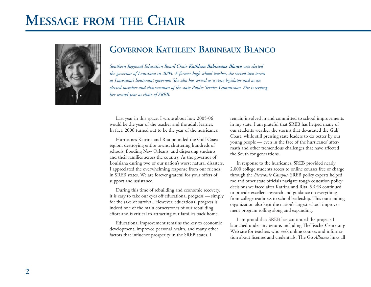# **MESSAGE FROM THE CHAIR**



# **GOVERNOR KATHLEEN BABINEAUX BLANCO**

*Southern Regional Education Board Chair Kathleen Babineaux Blanco was elected the governor of Louisiana in 2003. A former high school teacher, she served two terms as Louisiana's lieutenant governor. She also has served as a state legislator and as an elected member and chairwoman of the state Public Service Commission. She is serving her second year as chair of SREB.*

Last year in this space, I wrote about how 2005-06 would be the year of the teacher and the adult learner. In fact, 2006 turned out to be the year of the hurricanes.

Hurricanes Katrina and Rita pounded the Gulf Coast region, destroying entire towns, shuttering hundreds of schools, flooding New Orleans, and dispersing students and their families across the country. As the governor of Louisiana during two of our nation's worst natural disasters, I appreciated the overwhelming response from our friends in SREB states. We are forever grateful for your offers of support and assistance.

During this time of rebuilding and economic recovery, it is easy to take our eyes off educational progress — simply for the sake of survival. However, educational progress is indeed one of the main cornerstones of our rebuilding effort and is critical to attracting our families back home.

Educational improvement remains the key to economic development, improved personal health, and many other factors that influence prosperity in the SREB states. I

remain involved in and committed to school improvements in my state. I am grateful that SREB has helped many of our students weather the storms that devastated the Gulf Coast, while still pressing state leaders to do better by our young people — even in the face of the hurricanes' aftermath and other tremendous challenges that have affected the South for generations.

In response to the hurricanes, SREB provided nearly 2,000 college students access to online courses free of charge through the *Electronic Campus.* SREB policy experts helped me and other state officials navigate tough education policy decisions we faced after Katrina and Rita. SREB continued to provide excellent research and guidance on everything from college readiness to school leadership. This outstanding organization also kept the nation's largest school improvement program rolling along and expanding.

I am proud that SREB has continued the projects I launched under my tenure, including TheTeacherCenter.org Web site for teachers who seek online courses and information about licenses and credentials. The Go *Alliance* links all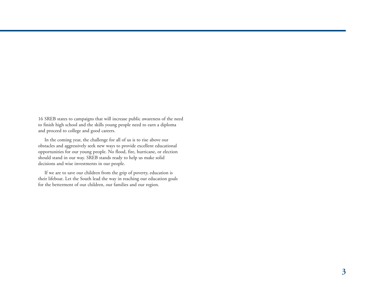16 SREB states to campaigns that will increase public awareness of the need to finish high school and the skills young people need to earn a diploma and proceed to college and good careers.

In the coming year, the challenge for all of us is to rise above our obstacles and aggressively seek new ways to provide excellent educational opportunities for our young people. No flood, fire, hurricane, or election should stand in our way. SREB stands ready to help us make solid decisions and wise investments in our people.

If we are to save our children from the grip of poverty, education is their lifeboat. Let the South lead the way in reaching our education goals for the betterment of our children, our families and our region.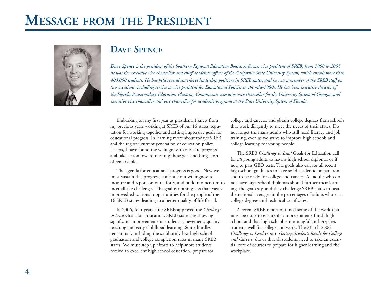# **MESSAGE FROM THE PRESIDENT**



# **DAVE SPENCE**

*Dave Spence is the president of the Southern Regional Education Board. A former vice president of SREB, from 1998 to 2005 he was the executive vice chancellor and chief academic officer of the California State University System, which enrolls more than 400,000 students. He has held several state-level leadership positions in SREB states, and he was a member of the SREB staff on two occasions, including service as vice president for Educational Policies in the mid-1980s. He has been executive director of the Florida Postsecondary Education Planning Commission, executive vice chancellor for the University System of Georgia, and executive vice chancellor and vice chancellor for academic programs at the State University System of Florida.* 

Embarking on my first year as president, I knew from my previous years working at SREB of our 16 states' reputation for working together and setting impressive goals for educational progress. In learning more about today's SREB and the region's current generation of education policy leaders, I have found the willingness to measure progress and take action toward meeting these goals nothing short of remarkable.

The agenda for educational progress is good. Now we must sustain this progress, continue our willingness to measure and report on our efforts, and build momentum to meet all the challenges. The goal is nothing less than vastly improved educational opportunities for the people of the 16 SREB states, leading to a better quality of life for all.

In 2006, four years after SREB approved the *Challenge to Lead* Goals for Education, SREB states are showing significant improvements in student achievement, quality teaching and early childhood learning. Some hurdles remain tall, including the stubbornly low high school graduation and college completion rates in many SREB states. We must step up efforts to help more students receive an excellent high school education, prepare for

college and careers, and obtain college degrees from schools that work diligently to meet the needs of their states. Do not forget the many adults who still need literacy and job training, even as we strive to improve high schools and college learning for young people.

The SREB *Challenge to Lead* Goals for Education call for *all* young adults to have a high school diploma, or if not, to pass GED tests. The goals also call for all recent high school graduates to have solid academic preparation and to be ready for college and careers. All adults who do not have high school diplomas should further their learning, the goals say, and they challenge SREB states to beat the national averages in the percentages of adults who earn college degrees and technical certificates.

A recent SREB report outlined some of the work that must be done to ensure that more students finish high school and that high school is meaningful and prepares students well for college and work. The March 2006 *Challenge to Lead* report, *Getting Students Ready for College and Careers,* shows that all students need to take an essential core of courses to prepare for higher learning and the workplace.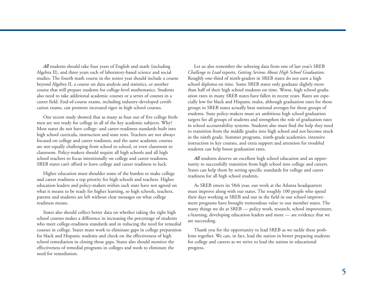*All* students should take four years of English and math (including Algebra II), and three years each of laboratory-based science and social studies. The fourth math course in the senior year should include a course beyond Algebra II, a course on data analysis and statistics, or another course that will prepare students for college-level mathematics. Students also need to take additional academic courses or a series of courses in a career field. End-of-course exams, including industry-developed certification exams, can promote increased rigor in high school courses.

One recent study showed that as many as four out of five college freshmen are not ready for college in all of the key academic subjects. Why? Most states do not have college- and career-readiness standards built into high school curricula, instruction and state tests. Teachers are not always focused on college and career readiness, and the same academic courses are not equally challenging from school to school, or even classroom to classroom. Policy-makers should require all high schools and all high school teachers to focus intentionally on college and career readiness. SREB states can't afford to leave college and career readiness to luck.

Higher education must shoulder some of the burden to make college and career readiness a top priority for high schools and teachers. Higher education leaders and policy-makers within each state have not agreed on what it means to be ready for higher learning, so high schools, teachers, parents and students are left without clear messages on what college readiness means.

States also should collect better data on whether taking the right high school courses makes a difference in increasing the percentage of students who meet college-readiness standards and in reducing the need for remedial courses in college. States must work to eliminate gaps in college preparation for black and Hispanic students and check on the effectiveness of high school remediation in closing those gaps. States also should monitor the effectiveness of remedial programs in colleges and work to eliminate the need for remediation.

Let us also remember the sobering data from one of last year's SREB *Challenge to Lead* reports, *Getting Serious About High School Graduation.* Roughly one-third of ninth-graders in SREB states do not earn a high school diploma on time. Some SREB states only graduate slightly more than half of their high school students on time. Worse, high school graduation rates in many SREB states have fallen in recent years. Rates are especially low for black and Hispanic males, although graduation rates for those groups in SREB states actually beat national averages for those groups of students. State policy-makers must set ambitious high school graduation targets for all groups of students and strengthen the role of graduation rates in school accountability systems. Students also must find the help they need to transition from the middle grades into high school and not become stuck in the ninth grade. Summer programs, ninth-grade academies, intensive instruction in key courses, and extra support and attention for troubled students can help boost graduation rates.

*All* students deserve an excellent high school education and an opportunity to successfully transition from high school into college and careers. States can help them by setting specific standards for college and career readiness for all high school students.

As SREB enters its 58th year, our work at the Atlanta headquarters must improve along with our states. The roughly 100 people who spend their days working at SREB and out in the field in our school improvement programs have brought tremendous value to our member states. The many things we do at SREB — policy work, research, school improvement, e-learning, developing education leaders and more — are evidence that we are succeeding.

Thank you for the opportunity to lead SREB as we tackle these problems together. We can, in fact, lead the nation in better preparing students for college and careers as we strive to lead the nation in educational progress.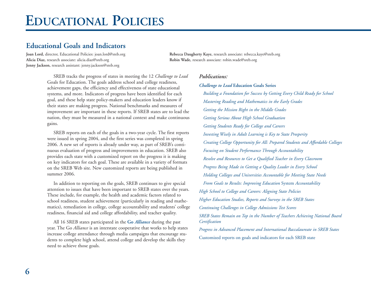# **Educational Goals and Indicators**

**Alicia Diaz,** research associate: alicia.diaz@sreb.org **Robin Wade,** research associate: robin.wade@sreb.org **Jenny Jackson,** research assistant: jenny.jackson@sreb.org

**Joan Lord,** director, Educational Policies: joan.lord@sreb.org **Rebecca Daugherty Kaye,** research associate: rebecca.kaye@sreb.org

SREB tracks the progress of states in meeting the 12 *Challenge to Lead* Goals for Education. The goals address school and college readiness, achievement gaps, the efficiency and effectiveness of state educational systems, and more. Indicators of progress have been identified for each goal, and these help state policy-makers and education leaders know if their states are making progress. National benchmarks and measures of improvement are important in these reports. If SREB states are to lead the nation, they must be measured in a national context and make continuous gains.

SREB reports on each of the goals in a two-year cycle. The first reports were issued in spring 2004, and the first series was completed in spring 2006. A new set of reports is already under way, as part of SREB's continuous evaluation of progress and improvements in education. SREB also provides each state with a customized report on the progress it is making on key indicators for each goal. These are available in a variety of formats on the SREB Web site. New customized reports are being published in summer 2006.

In addition to reporting on the goals, SREB continues to give special attention to issues that have been important to SREB states over the years. These include, for example, the health and academic factors related to school readiness, student achievement (particularly in reading and mathematics), remediation in college, college accountability and students' college readiness, financial aid and college affordability, and teacher quality.

All 16 SREB states participated in the **Go** *Alliance* during the past year. The Go *Alliance* is an interstate cooperative that works to help states increase college attendance through media campaigns that encourage students to complete high school, attend college and develop the skills they need to achieve those goals.

### *Publications:*

#### *Challenge to Lead* **Education Goals Series**

*Building a Foundation for Success by Getting Every Child Ready for School Mastering Reading and Mathematics in the Early Grades Getting the Mission Right in the Middle Grades Getting Serious About High School Graduation Getting Students Ready for College and Careers Investing Wisely in Adult Learning is Key to State Prosperity Creating College Opportunity for All: Prepared Students and Affordable Colleges Focusing on Student Performance Through Accountability Resolve and Resources to Get a Qualified Teacher in Every Classroom Progress Being Made in Getting a Quality Leader in Every School Holding Colleges and Universities Accountable for Meeting State Needs From Goals to Results: Improving Education* System *Accountability High School to College and Careers: Aligning State Policies Higher Education Studies, Reports and Surveys in the SREB States Continuing Challenges in College Admissions Test Scores SREB States Remain on Top in the Number of Teachers Achieving National Board Certification Progress in Advanced Placement and International Baccalaureate in SREB States* Customized reports on goals and indicators for each SREB state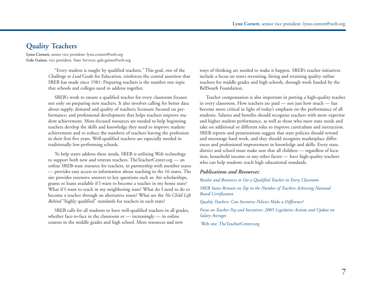### **Quality Teachers**

**Lynn Cornett,** senior vice president: lynn.cornett@sreb.org **Gale Gaines,** vice president, State Services: gale.gaines@sreb.org

> "Every student is taught by qualified teachers." This goal, one of the *Challenge to Lead* Goals for Education, reinforces the central assertion that SREB has made since 1981: Preparing teachers is the number one topic that schools and colleges need to address together.

> SREB's work to ensure a qualified teacher for every classroom focuses not only on preparing new teachers. It also involves calling for better data about supply, demand and quality of teachers; licensure focused on performance; and professional development that helps teachers improve student achievement. More-focused resources are needed to help beginning teachers develop the skills and knowledge they need to improve student achievement and to reduce the numbers of teachers leaving the profession in their first five years. Well-qualified teachers are especially needed in traditionally low-performing schools.

To help states address these needs, SREB is utilizing Web technology to support both new and veteran teachers. TheTeacherCenter.org — an online SREB-state resource for teachers, in partnership with member states — provides easy access to information about teaching in the 16 states. The site provides extensive answers to key questions such as: Are scholarships, grants or loans available if I want to become a teacher in my home state? What if I want to teach in my neighboring state? What do I need to do to become a teacher through an alternative route? What are the *No Child Left Behind* "highly qualified" standards for teachers in each state?

SREB calls for all students to have well-qualified teachers in all grades, whether face-to-face in the classroom or — increasingly — in online courses in the middle grades and high school. More resources and new

ways of thinking are needed to make it happen. SREB's teacher initiatives include a focus on states recruiting, hiring and retaining quality online teachers for middle grades and high schools, through work funded by the BellSouth Foundation.

Teacher compensation is also important in putting a high-quality teacher in every classroom. How teachers are paid — not just how much — has become more critical in light of today's emphasis on the performance of all students. Salaries and benefits should recognize teachers with more expertise and higher student performance, as well as those who meet state needs and take on additional or different roles to improve curriculum and instruction. SREB reports and presentations suggest that state policies should reward and encourage hard work, and they should recognize marketplace differences and professional improvement in knowledge and skills. Every state, district and school must make sure that all children — regardless of location, household income or any other factor — have high-quality teachers who can help students reach high educational standards.

### *Publications and Resources:*

*Resolve and Resources to Get a Qualified Teacher in Every Classroom* 

*SREB States Remain on Top in the Number of Teachers Achieving National Board Certification* 

*Quality Teachers: Can Incentive Policies Make a Difference?*

*Focus on Teacher Pay and Incentives: 2005 Legislative Actions and Update on Salary Averages*

Web site: TheTeacherCenter.org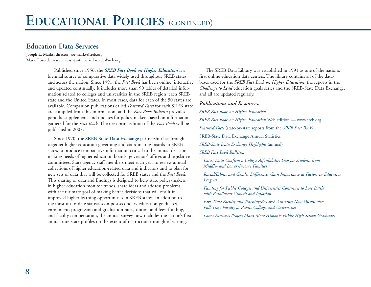### **Education Data Services**

**Joseph L. Marks,** director: joe.marks@sreb.org **Marie Loverde,** research assistant: marie.loverde@sreb.org

> Published since 1956, the *SREB Fact Book on Higher Education* is a biennial source of comparative data widely used throughout SREB states and across the nation. Since 1991, the *Fact Book* has been online, interactive and updated continually. It includes more than 90 tables of detailed information related to colleges and universities in the SREB region, each SREB state and the United States. In most cases, data for each of the 50 states are available. Companion publications called *Featured Facts* for each SREB state are compiled from this information, and the *Fact Book Bulletin* provides periodic supplements and updates for policy-makers based on information gathered for the *Fact Book.* The next print edition of the *Fact Book* will be published in 2007.

Since 1970, the **SREB-State Data Exchange** partnership has brought together higher education governing and coordinating boards in SREB states to produce comparative information critical to the annual decisionmaking needs of higher education boards, governors' offices and legislative committees. State agency staff members meet each year to review annual collections of higher education-related data and indicators and to plan for new sets of data that will be collected for SREB states and the *Fact Book.* This sharing of data and findings is designed to help state policy-makers in higher education monitor trends, share ideas and address problems, with the ultimate goal of making better decisions that will result in improved higher learning opportunities in SREB states. In addition to the most up-to-date statistics on postsecondary education graduates, enrollment, progression and graduation rates, tuition and fees, funding, and faculty compensation, the annual survey now includes the nation's first annual interstate profiles on the extent of instruction through e-learning.

The SREB Data Library was established in 1991 as one of the nation's first online education data centers. The library contains all of the databases used for the *SREB Fact Book on Higher Education,* the reports in the *Challenge to Lead* education goals series and the SREB-State Data Exchange, and all are updated regularly.

#### *Publications and Resources:*

*SREB Fact Book on Higher Education*

*SREB Fact Book on Higher Education* Web edition — www.sreb.org

*Featured Facts* (state-by-state reports from the *SREB Fact Book)*

SREB-State Data Exchange Annual Statistics

*SREB-State Data Exchange Highlights* (annual)

*SREB Fact Book Bulletins*

*Latest Data Confirm a College Affordability Gap for Students from Middle- and Lower-Income Families*

*Racial/Ethnic and Gender Differences Gain Importance as Factors in Education Progress*

*Funding for Public Colleges and Universities Continues to Lose Battle with Enrollment Growth and Inflation*

*Part-Time Faculty and Teaching/Research Assistants Now Outnumber Full-Time Faculty at Public Colleges and Universities*

*Latest Forecasts Project Many More Hispanic Public High School Graduates*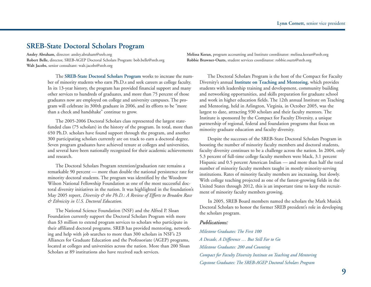### **SREB-State Doctoral Scholars Program**

**Robert Belle,** director, SREB-AGEP Doctoral Scholars Program: bob.belle@sreb.org **Robbie Brawner-Ouzts,** student services coordinator: robbie.ouzts@sreb.org **Walt Jacobs,** senior consultant: walt.jacobs@sreb.org

The **SREB-State Doctoral Scholars Program** works to increase the number of minority students who earn Ph.D.s and seek careers as college faculty. In its 13-year history, the program has provided financial support and many other services to hundreds of graduates, and more than 75 percent of those graduates now are employed on college and university campuses. The program will celebrate its 300th graduate in 2006, and its efforts to be "more than a check and handshake" continue to grow.

The 2005-2006 Doctoral Scholars class represented the largest statefunded class (75 scholars) in the history of the program. In total, more than 650 Ph.D. scholars have found support through the program, and another 300 participating scholars currently are on track to earn a doctoral degree. Seven program graduates have achieved tenure at colleges and universities, and several have been nationally recognized for their academic achievements and research.

The Doctoral Scholars Program retention/graduation rate remains a remarkable 90 percent — more than double the national persistence rate for minority doctoral students. The program was identified by the Woodrow Wilson National Fellowship Foundation as one of the most successful doctoral diversity initiatives in the nation. It was highlighted in the foundation's May 2005 report, *Diversity & the Ph.D.: A Review of Efforts to Broaden Race & Ethnicity in U.S. Doctoral Education.*

The National Science Foundation (NSF) and the Alfred P. Sloan Foundation currently support the Doctoral Scholars Program with more than \$3 million to extend program services to scholars who participate in their affiliated doctoral programs. SREB has provided mentoring, networking and help with job searches to more than 300 scholars in NSF's 23 Alliances for Graduate Education and the Professoriate (AGEP) programs, located at colleges and universities across the nation. More than 200 Sloan Scholars at 89 institutions also have received such services.

**Ansley Abraham,** director: ansley.abraham@sreb.org **Melissa Koran,** program accounting and Institute coordinator: melissa.koran@sreb.org

The Doctoral Scholars Program is the host of the Compact for Faculty Diversity's annual **Institute on Teaching and Mentoring**, which provides students with leadership training and development, community building and networking opportunities, and skills preparation for graduate school and work in higher education fields. The 12th annual Institute on Teaching and Mentoring, held in Arlington, Virginia, in October 2005, was the largest to date, attracting 930 scholars and their faculty mentors. The Institute is sponsored by the Compact for Faculty Diversity, a unique partnership of regional, federal and foundation programs that focus on minority graduate education and faculty diversity.

Despite the successes of the SREB-State Doctoral Scholars Program in boosting the number of minority faculty members and doctoral students, faculty diversity continues to be a challenge across the nation. In 2004, only 5.3 percent of full-time college faculty members were black, 3.1 percent Hispanic and 0.5 percent American Indian — and more than half the total number of minority faculty members taught in mostly minority-serving institutions. Rates of minority faculty members are increasing, but slowly. With college teaching projected as one of the fastest-growing fields in the United States through 2012, this is an important time to keep the recruitment of minority faculty members growing.

In 2005, SREB Board members named the scholars the Mark Musick Doctoral Scholars to honor the former SREB president's role in developing the scholars program.

#### *Publications:*

*Milestone Graduates: The First 100 A Decade, A Difference … But Still Far to Go Milestone Graduates: 200 and Counting Compact for Faculty Diversity Institute on Teaching and Mentoring Capstone Graduates: The SREB-AGEP Doctoral Scholars Program*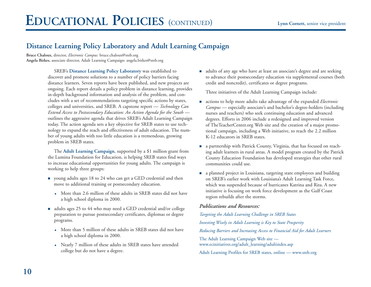# **Distance Learning Policy Laboratory and Adult Learning Campaign**

**Bruce Chaloux,** director, *Electronic Campus:* bruce.chaloux@sreb.org **Angela Birkes,** associate director, Adult Learning Campaign: angela.birkes@sreb.org

> SREB's **Distance Learning Policy Laboratory** was established to discover and promote solutions to a number of policy barriers facing distance learners. Seven reports have been published, and new projects are ongoing. Each report details a policy problem in distance learning, provides in-depth background information and analysis of the problem, and concludes with a set of recommendations targeting specific actions by states, colleges and universities, and SREB. A capstone report — *Technology Can Extend Access to Postsecondary Education: An Action Agenda for the South* outlines the aggressive agenda that drives SREB's Adult Learning Campaign today. The action agenda sets a key objective for SREB states to use technology to expand the reach and effectiveness of adult education. The number of young adults with too little education is a tremendous, growing problem in SREB states.

The **Adult Learning Campaign**, supported by a \$1 million grant from the Lumina Foundation for Education, is helping SREB states find ways to increase educational opportunities for young adults. The campaign is working to help three groups:

- voung adults ages 18 to 24 who can get a GED credential and then move to additional training or postsecondary education.
	- More than 2.6 million of these adults in SREB states did not have a high school diploma in 2000.
- adults ages 25 to 44 who may need a GED credential and/or college preparation to pursue postsecondary certificates, diplomas or degree programs.
	- More than 5 million of these adults in SREB states did not have a high school diploma in 2000.
	- Nearly 7 million of these adults in SREB states have attended college but do not have a degree.

 adults of any age who have at least an associate's degree and are seeking to advance their postsecondary education via supplemental courses (both credit and noncredit), certificates or degree programs.

Three initiatives of the Adult Learning Campaign include:

- actions to help more adults take advantage of the expanded *Electronic Campus* — especially associate's and bachelor's degree-holders (including nurses and teachers) who seek continuing education and advanced degrees. Efforts in 2006 include a redesigned and improved version of TheTeacherCenter.org Web site and the creation of a major promotional campaign, including a Web initiative, to reach the 2.2 million K-12 educators in SREB states.
- a partnership with Patrick County, Virginia, that has focused on reaching adult learners in rural areas. A model program created by the Patrick County Education Foundation has developed strategies that other rural communities could use.
- a planned project in Louisiana, targeting state employees and building on SREB's earlier work with Louisiana's Adult Learning Task Force, which was suspended because of hurricanes Katrina and Rita. A new initiative is focusing on work force development as the Gulf Coast region rebuilds after the storms.

### *Publications and Resources:*

*Targeting the Adult Learning Challenge in SREB States Investing Wisely in Adult Learning is Key to State Prosperity Reducing Barriers and Increasing Access to Financial Aid for Adult Learners* The Adult Learning Campaign Web site www.ecinitiatives.org/adult\_learning/adultindex.asp Adult Learning Profiles for SREB states, online — www.sreb.org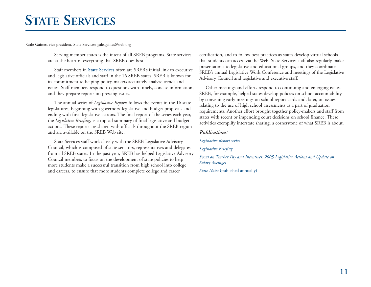# **STATE SERVICES**

**Gale Gaines,** vice president, State Services: gale.gaines@sreb.org

Serving member states is the intent of all SREB programs. State services are at the heart of everything that SREB does best.

Staff members in **State Services** often are SREB's initial link to executive and legislative officials and staff in the 16 SREB states. SREB is known for its commitment to helping policy-makers accurately analyze trends and issues. Staff members respond to questions with timely, concise information, and they prepare reports on pressing issues.

The annual series of *Legislative Reports* follows the events in the 16 state legislatures, beginning with governors' legislative and budget proposals and ending with final legislative actions. The final report of the series each year, the *Legislative Briefing,* is a topical summary of final legislative and budget actions. These reports are shared with officials throughout the SREB region and are available on the SREB Web site.

State Services staff work closely with the SREB Legislative Advisory Council, which is composed of state senators, representatives and delegates from all SREB states. In the past year, SREB has helped Legislative Advisory Council members to focus on the development of state policies to help more students make a successful transition from high school into college and careers, to ensure that more students complete college and career

certification, and to follow best practices as states develop virtual schools that students can access via the Web. State Services staff also regularly make presentations to legislative and educational groups, and they coordinate SREB's annual Legislative Work Conference and meetings of the Legislative Advisory Council and legislative and executive staff.

Other meetings and efforts respond to continuing and emerging issues. SREB, for example, helped states develop policies on school accountability by convening early meetings on school report cards and, later, on issues relating to the use of high school assessments as a part of graduation requirements. Another effort brought together policy-makers and staff from states with recent or impending court decisions on school finance. These activities exemplify interstate sharing, a cornerstone of what SREB is about.

### *Publications:*

### *Legislative Report series*

*Legislative Briefing*

*Focus on Teacher Pay and Incentives: 2005 Legislative Actions and Update on Salary Averages*

*State Notes* (published annually)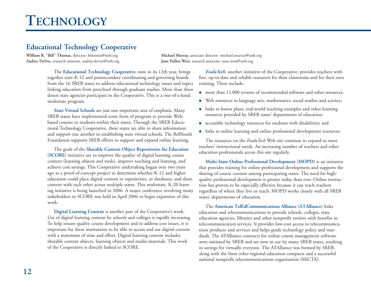# **Educational Technology Cooperative**

**William R. "Bill" Thomas,** director: bthomas@sreb.org **Michael Murray,** associate director: michael.murray@sreb.org

**Audrey DeVoe,** research assistant: audrey.devoe@sreb.org **June Pullen Weis,** research associate: june.weis@sreb.org

The **Educational Technology Cooperative**, now in its 12th year, brings together state K-12 and postsecondary coordinating and governing boards from the 16 SREB states to address educational technology issues and topics linking education from preschool through graduate studies. More than three dozen state agencies participate in the Cooperative. This is a one-of-a-kind, multistate program.

**State Virtual Schools** are just one important area of emphasis. Many SREB states have implemented some form of program to provide Webbased courses to students within their states. Through the SREB Educational Technology Cooperative, these states are able to share information and support one another in establishing state virtual schools. The BellSouth Foundation supports SREB efforts to support and expand online learning.

The goals of the **Sharable Content Object Repositories for Education (SCORE)** initiative are to improve the quality of digital learning course content (learning objects and tools), improve teaching and learning, and achieve cost savings. This Cooperative undertaking began over two years ago as a proof-of-concept project to determine whether K-12 and higher education could place digital content in repositories, or databases, and share content with each other across multiple states. This multistate, K-20 learning initiative is being launched in 2006. A major conference involving many stakeholders in SCORE was held in April 2006 to begin expansion of this work.

**Digital Learning Content** is another part of the Cooperative's work. Use of digital learning content by schools and colleges is rapidly increasing. To help ensure quality course development and to address cost issues, it is important for these institutions to be able to access and use digital content with a minimum of time and effort. Digital learning content includes sharable content objects, learning objects and media materials. This work of the Cooperative is directly linked to SCORE.

*EvaluTech,* another initiative of the Cooperative, provides teachers with free, up-to-date and reliable resources for their classrooms and for their own training. These include:

- more than 11,000 reviews of recommended software and other resources;
- Web resources in language arts, mathematics, social studies and science;
- links to lesson plans, real-world teaching examples and other learning resources provided by SREB states' departments of education;
- **accessible technology resources for students with disabilities; and**
- links to online learning and online professional development resources.

The resources on the *EvaluTech* Web site continue to expand to meet teachers' instructional needs. An increasing number of teachers and other education professionals access this site regularly.

**Multi-State Online Professional Development (MOPD)** is an initiative that provides training for online professional development and supports the sharing of course content among participating states. The need for highquality professional development is greater today than ever. Online instruction has proven to be especially effective because it can reach teachers regardless of where they live or teach. MOPD works closely with all SREB states' departments of education.

The **American TelEdCommunications Alliance (ATAlliance)** links education and telecommunications to provide schools, colleges, state education agencies, libraries and other nonprofit entities with benefits in telecommunication services. It provides low-cost access to telecommunications products and services and helps guide technology policy and standards. The ATAlliance contracts for online course management software were initiated by SREB and are now in use by many SREB states, resulting in savings for virtually everyone. The ATAlliance was formed by SREB, along with the three other regional education compacts and a successful national nonprofit telecommunications organization (MiCTA).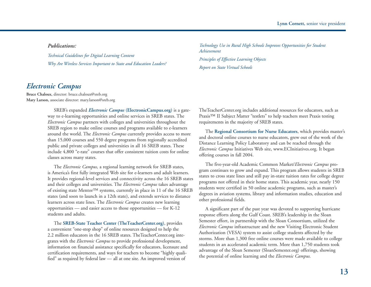*Publications:* 

*Technical Guidelines for Digital Learning Content Why Are Wireless Services Important to State and Education Leaders?* 

### *Electronic Campus*

**Bruce Chaloux,** director: bruce.chaloux@sreb.org **Mary Larson,** associate director: mary.larson@sreb.org

> SREB's expanded *Electronic Campus* **(ElectronicCampus.org)** is a gateway to e-learning opportunities and online services in SREB states. The *Electronic Campus* partners with colleges and universities throughout the SREB region to make online courses and programs available to e-learners around the world. The *Electronic Campus* currently provides access to more than 15,000 courses and 550 degree programs from regionally accredited public and private colleges and universities in all 16 SREB states. These include 4,800 "e-rate" courses that offer consistent tuition costs for online classes across many states.

The *Electronic Campus,* a regional learning network for SREB states, is America's first fully integrated Web site for e-learners and adult learners. It provides regional-level services and connectivity across the 16 SREB states and their colleges and universities. The *Electronic Campus* takes advantage of existing state Mentor™ systems, currently in place in 11 of the 16 SREB states (and soon to launch in a 12th state), and extends services to distance learners across state lines. The *Electronic Campus* creates new learning opportunities — and easier access to those opportunities — for K-12 students and adults.

The **SREB-State Teacher Center (TheTeacherCenter.org)**, provides a convenient "one-stop shop" of online resources designed to help the 2.2 million educators in the 16 SREB states. TheTeacherCenter.org integrates with the *Electronic Campus* to provide professional development, information on financial assistance specifically for educators, licensure and certification requirements, and ways for teachers to become "highly qualified" as required by federal law — all at one site. An improved version of

*Technology Use in Rural High Schools Improves Opportunities for Student Achievement Principles of Effective Learning Objects Report on State Virtual Schools*

TheTeacherCenter.org includes additional resources for educators, such as Praxis™ II Subject Matter "testlets" to help teachers meet Praxis testing requirements in the majority of SREB states.

The **Regional Consortium for Nurse Educators**, which provides master's and doctoral online courses to nurse educators, grew out of the work of the Distance Learning Policy Laboratory and can be reached through the *Electronic Campus* Initiatives Web site, www.ECInitiatives.org. It began offering courses in fall 2004.

The five-year-old Academic Common Market/*Electronic Campus* program continues to grow and expand. This program allows students in SREB states to cross state lines and still pay in-state tuition rates for college degree programs not offered in their home states. This academic year, nearly 150 students were certified in 50 online academic programs, such as master's degrees in aviation systems, library and information studies, education and other professional fields.

A significant part of the past year was devoted to supporting hurricane response efforts along the Gulf Coast. SREB's leadership in the Sloan Semester effort, in partnership with the Sloan Consortium, utilized the *Electronic Campus* infrastructure and the new Visiting Electronic Student Authorization (VESA) system to assist college students affected by the storms. More than 1,300 free online courses were made available to college students in an accelerated academic term. More than 1,750 students took advantage of the Sloan Semester (SloanSemester.org) offerings, showing the potential of online learning and the *Electronic Campus.*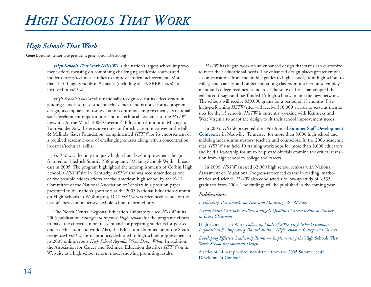# *High Schools That Work*

**Gene Bottoms,** senior vice president: gene.bottoms@sreb.org

*High Schools That Work (HSTW)* is the nation's largest school improvement effort, focusing on combining challenging academic courses and modern career/technical studies to improve student achievement. More than 1,100 high schools in 32 states (including all 16 SREB states) are involved in *HSTW*.

*High Schools That Work* is nationally recognized for its effectiveness in guiding schools to raise student achievement and is noted for its program design, its emphasis on using data for continuous improvement, its national staff development opportunities and its technical assistance to the *HSTW* network. At the March 2006 Governor's Education Summit in Michigan, Tom Vander Ark, the executive director for education initiatives at the Bill & Melinda Gates Foundation, complimented *HSTW* for its endorsement of a required academic core of challenging courses along with a concentration in career/technical skills.

*HSTW* was the only uniquely high school-level improvement design featured on Hedrick Smith's PBS program, "Making Schools Work," broadcast in 2005. The program highlighted the accomplishments of Corbin High School, a *HSTW* site in Kentucky. *HSTW* also was recommended as one of five possible reform efforts for the American high school by the K-12 Committee of the National Association of Scholars in a position paper presented to the nation's governors at the 2005 National Education Summit on High Schools in Washington, D.C. *HSTW* was referenced as one of the nation's best comprehensive, whole-school reform efforts.

The North Central Regional Education Laboratory cited *HSTW* in its 2005 publication *Strategies to Improve High Schools* for the program's efforts to make the curricula more relevant and for preparing students for postsecondary education and work. Also, the Education Commission of the States recognized *HSTW* for its products dedicated to high school improvement in its 2005 online report *High School Agenda: Who's Doing What.* In addition, the Association for Career and Technical Education describes *HSTW* on its Web site as a high school reform model showing promising results.

*HSTW* has begun work on an enhanced design that states can customize to meet their educational needs. The enhanced design places greater emphasis on transitions from the middle grades to high school, from high school to college and careers, and on benchmarking classroom instruction to employment and college-readiness standards. The state of Texas has adopted the enhanced design and has funded 15 high schools to join the new network. The schools will receive \$30,000 grants for a period of 18 months. Five high-performing *HSTW* sites will receive \$10,000 awards to serve as mentor sites for the 15 schools. *HSTW* is currently working with Kentucky and West Virginia to adapt the design to fit their school improvement needs.

In 2005, *HSTW* presented the 19th Annual **Summer Staff Development Conference** in Nashville, Tennessee, for more than 8,000 high school and middle grades administrators, teachers and counselors. In the 2006 academic year, *HSTW* also held 10 training workshops for more than 3,000 educators and held a leadership forum to help state officials examine the critical transition from high school to college and careers.

In 2006, *HSTW* assessed 62,000 high school seniors with National Assessment of Educational Progress-referenced exams in reading, mathematics and science. *HSTW* also conducted a follow-up study of 6,535 graduates from 2004. The findings will be published in the coming year.

### *Publications:*

*Establishing Benchmarks for New and Maturing* HSTW *Sites* 

*Actions States Can Take to Place a Highly Qualified Career/Technical Teacher in Every Classroom* 

High Schools That Work *Follow-up Study of 2002 High School Graduates: Implications for Improving Transitions from High School to College and Careers* 

*Developing Effective Leadership Teams — Implementing the* High Schools That Work *School Improvement Design* 

A series of 14 best practices newsletters from the 2005 Summer Staff Development Conference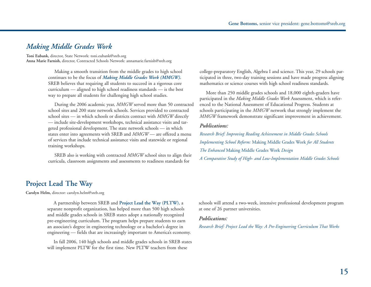### *Making Middle Grades Work*

**Toni Eubank,** director, State Network: toni.eubank@sreb.org **Anna Marie Farnish,** director, Contracted Schools Network: annamarie.farnish@sreb.org

> Making a smooth transition from the middle grades to high school continues to be the focus of *Making Middle Grades Work (MMGW).* SREB believes that requiring all students to succeed in a rigorous core curriculum — aligned to high school readiness standards — is the best way to prepare all students for challenging high school studies.

During the 2006 academic year, *MMGW* served more than 50 contracted school sites and 200 state network schools. Services provided to contracted school sites — in which schools or districts contract with *MMGW* directly — include site-development workshops, technical assistance visits and targeted professional development. The state network schools — in which states enter into agreements with SREB and *MMGW* — are offered a menu of services that include technical assistance visits and statewide or regional training workshops.

SREB also is working with contracted *MMGW* school sites to align their curricula, classroom assignments and assessments to readiness standards for

college-preparatory English, Algebra I and science. This year, 29 schools participated in three, two-day training sessions and have made progress aligning mathematics or science courses with high school readiness standards.

More than 250 middle grades schools and 18,000 eighth-graders have participated in the *Making Middle Grades Work* Assessment, which is referenced to the National Assessment of Educational Progress. Students at schools participating in the *MMGW* network that strongly implement the *MMGW* framework demonstrate significant improvement in achievement.

### *Publications:*

*Research Brief: Improving Reading Achievement in Middle Grades Schools Implementing School Reform:* Making Middle Grades Work *for All Students The Enhanced* Making Middle Grades Work *Design A Comparative Study of High- and Low-Implementation Middle Grades Schools* 

### **Project Lead The Way**

**Carolyn Helm,** director: carolyn.helm@sreb.org

A partnership between SREB and **Project Lead the Way (PLTW)**, <sup>a</sup> separate nonprofit organization, has helped more than 500 high schools and middle grades schools in SREB states adopt a nationally recognized pre-engineering curriculum. The program helps prepare students to earn an associate's degree in engineering technology or a bachelor's degree in engineering — fields that are increasingly important to America's economy.

In fall 2006, 140 high schools and middle grades schools in SREB states will implement PLTW for the first time. New PLTW teachers from these

schools will attend a two-week, intensive professional development program at one of 26 partner universities.

#### *Publications:*

*Research Brief: Project Lead the Way: A Pre-Engineering Curriculum That Works*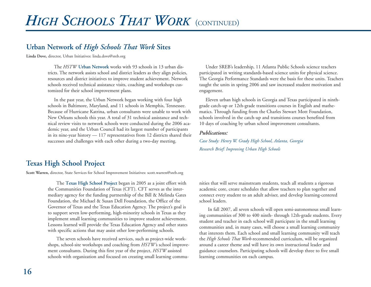# **Urban Network of** *High Schools That Work* **Sites**

**Linda Dove,** director, Urban Initiatives: linda.dove@sreb.org

The *HSTW* **Urban Network** works with 93 schools in 13 urban districts. The network assists school and district leaders as they align policies, resources and district initiatives to improve student achievement. Network schools received technical assistance visits, coaching and workshops customized for their school improvement plans.

In the past year, the Urban Network began working with four high schools in Baltimore, Maryland, and 11 schools in Memphis, Tennessee. Because of Hurricane Katrina, urban consultants were unable to work with New Orleans schools this year. A total of 31 technical assistance and technical review visits to network schools were conducted during the 2006 academic year, and the Urban Council had its largest number of participants in its nine-year history — 117 representatives from 12 districts shared their successes and challenges with each other during a two-day meeting.

Under SREB's leadership, 11 Atlanta Public Schools science teachers participated in writing standards-based science units for physical science. The Georgia Performance Standards were the basis for these units. Teachers taught the units in spring 2006 and saw increased student motivation and engagement.

Eleven urban high schools in Georgia and Texas participated in ninthgrade catch-up or 12th-grade transitions courses in English and mathematics. Through funding from the Charles Stewart Mott Foundation, schools involved in the catch-up and transitions courses benefited from 10 days of coaching by urban school improvement consultants.

### *Publications:*

*Case Study: Henry W. Grady High School, Atlanta, Georgia Research Brief: Improving Urban High Schools*

### **Texas High School Project**

**Scott Warren,** director, State Services for School Improvement Initiatives: scott.warren@sreb.org

The **Texas High School Project** began in 2005 as a joint effort with the Communities Foundation of Texas (CFT). CFT serves as the intermediary agency for the funding partnership of the Bill & Melinda Gates Foundation, the Michael & Susan Dell Foundation, the Office of the Governor of Texas and the Texas Education Agency. The project's goal is to support seven low-performing, high-minority schools in Texas as they implement small learning communities to improve student achievement. Lessons learned will provide the Texas Education Agency and other states with specific actions that may assist other low-performing schools.

The seven schools have received services, such as project-wide workshops, school-site workshops and coaching from *HSTW'*s school improvement consultants. During this first year of the project, *HSTW* assisted schools with organization and focused on creating small learning communities that will serve mainstream students, teach all students a rigorous academic core, create schedules that allow teachers to plan together and connect every student to an adult adviser, and develop learning-centered school leaders.

In fall 2007, all seven schools will open semi-autonomous small learn ing communities of 300 to 400 ninth- through 12th-grade students. Every student and teacher in each school will participate in the small learning communities and, in many cases, will choose a small learning community that interests them. Each school and small learning community will teach the *High Schools That Work*-recommended curriculum, will be organized around a career theme and will have its own instructional leader and guidance counselors. Participating schools will develop three to five small learning communities on each campus.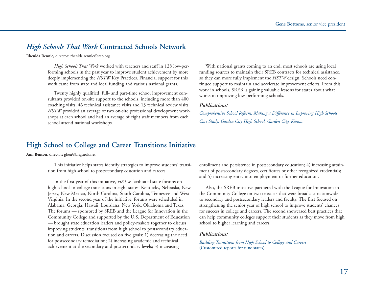### *High Schools That Work* **Contracted Schools Network**

**Rhenida Rennie,** director: rhenida.rennie@sreb.org

*High Schools That Work* worked with teachers and staff in 128 low-performing schools in the past year to improve student achievement by more deeply implementing the *HSTW* Key Practices. Financial support for this work came from state and local funding and various national grants.

Twenty highly qualified, full- and part-time school improvement consultants provided on-site support to the schools, including more than 400 coaching visits, 46 technical assistance visits and 13 technical review visits. *HSTW* provided an average of two on-site professional development workshops at each school and had an average of eight staff members from each school attend national workshops.

With national grants coming to an end, most schools are using local funding sources to maintain their SREB contracts for technical assistance, so they can more fully implement the *HSTW* design. Schools need continued support to maintain and accelerate improvement efforts. From this work in schools, SREB is gaining valuable lessons for states about what works in improving low-performing schools.

#### *Publications:*

*Comprehensive School Reform: Making a Difference in Improving High Schools Case Study: Garden City High School, Garden City, Kansas*

### **High School to College and Career Transitions Initiative**

**Ann Benson,** director: gben@brightok.net

This initiative helps states identify strategies to improve students' transition from high school to postsecondary education and careers.

In the first year of this initiative, *HSTW* facilitated state forums on high school-to-college transitions in eight states: Kentucky, Nebraska, New Jersey, New Mexico, North Carolina, South Carolina, Tennessee and West Virginia. In the second year of the initiative, forums were scheduled in Alabama, Georgia, Hawaii, Louisiana, New York, Oklahoma and Texas. The forums — sponsored by SREB and the League for Innovation in the Community College and supported by the U.S. Department of Education — brought state education leaders and policy-makers together to discuss improving students' transitions from high school to postsecondary education and careers. Discussion focused on five goals: 1) decreasing the need for postsecondary remediation; 2) increasing academic and technical achievement at the secondary and postsecondary levels; 3) increasing

enrollment and persistence in postsecondary education; 4) increasing attainment of postsecondary degrees, certificates or other recognized credentials; and 5) increasing entry into employment or further education.

Also, the SREB initiative partnered with the League for Innovation in the Community College on two telecasts that were broadcast nationwide to secondary and postsecondary leaders and faculty. The first focused on strengthening the senior year of high school to improve students' chances for success in college and careers. The second showcased best practices that can help community colleges support their students as they move from high school to higher learning and careers.

#### *Publications:*

*Building Transitions from High School to College and Careers* (Customized reports for nine states)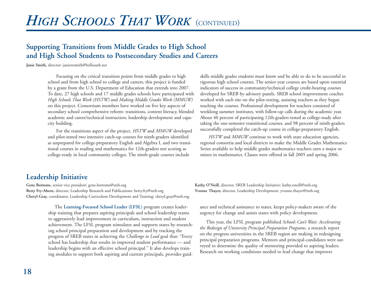# *HIGH SCHOOLS THAT WORK* (CONTINUED)

# **Supporting Transitions from Middle Grades to High School and High School Students to Postsecondary Studies and Careers**

**Janie Smith,** director: janiewsmith@bellsouth.net

Focusing on the critical transition points from middle grades to high school and from high school to college and careers, this project is funded by a grant from the U.S. Department of Education that extends into 2007. To date, 27 high schools and 17 middle grades schools have participated with *High Schools That Work (HSTW)* and *Making Middle Grades Work (MMGW)* on this project. Consortium members have worked on five key aspects of secondary school comprehensive reform: transitions, content literacy, blended academic and career/technical instruction, leadership development and capacity building.

For the transitions aspect of the project, *HSTW* and *MMGW* developed and pilot-tested two intensive catch-up courses for ninth-graders identified as unprepared for college-preparatory English and Algebra I, and two transitional courses in reading and mathematics for 12th-graders not scoring as college-ready in local community colleges. The ninth-grade courses include

skills middle grades students must know and be able to do to be successful in rigorous high school courses. The senior year courses are based upon essential indicators of success in community/technical college credit-bearing courses developed for SREB by advisory panels. SREB school improvement coaches worked with each site on the pilot-testing, assisting teachers as they began teaching the courses. Professional development for teachers consisted of weeklong summer institutes, with follow-up calls during the academic year. About 40 percent of participating 12th-graders tested as college-ready after taking the one-semester transitional courses, and 98 percent of ninth-graders successfully completed the catch-up course in college-preparatory English.

*HSTW* and *MMGW* continue to work with state education agencies, regional consortia and local districts to make the Middle Grades Mathematics Series available to help middle grades mathematics teachers earn a major or minor in mathematics. Classes were offered in fall 2005 and spring 2006.

### **Leadership Initiative**

**Gene Bottoms,** senior vice president: gene.bottoms@sreb.org **Kathy O'Neill,** director, SREB Leadership Initiative: kathy.oneill@sreb.org **Betty Fry-Ahern,** director, Leadership Research and Publications: betty.fry@sreb.org **Yvonne Thayer,** director, Leadership Development: yvonne.thayer@sreb.org **Cheryl Gray,** coordinator, Leadership Curriculum Development and Training: cheryl.gray@sreb.org

The **Learning-Focused School Leader (LFSL)** program creates leadership training that prepares aspiring principals and school leadership teams to aggressively lead improvement in curriculum, instruction and student achievement. The LFSL program stimulates and supports states by researching school principal preparation and development and by tracking the progress of SREB states in achieving the *Challenge to Lead* goal that: "Every school has leadership that results in improved student performance — and leadership begins with an effective school principal." It also develops training modules to support both aspiring and current principals, provides guid-

ance and technical assistance to states, keeps policy-makers aware of the

urgency for change and assists states with policy development. This year, the LFSL program published *Schools Can't Wait: Accelerating* on the progress universities in the SREB region are making in redesigning principal preparation programs. Mentors and principal-candidates were sur veyed to determine the quality of mentoring provided to aspiring leaders. Research on working conditions needed to lead change that improves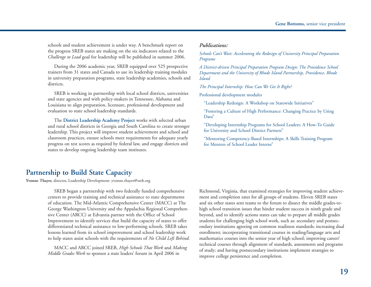schools and student achievement is under way. A benchmark report on the progress SREB states are making on the six indicators related to the *Challenge to Lead* goal for leadership will be published in summer 2006.

During the 2006 academic year, SREB equipped over 525 prospective trainers from 31 states and Canada to use its leadership training modules in university preparation programs, state leadership academies, schools and districts.

SREB is working in partnership with local school districts, universities and state agencies and with policy-makers in Tennessee, Alabama and Louisiana to align preparation, licensure, professional development and evaluation to state school leadership standards.

The **District Leadership Academy Project** works with selected urban and rural school districts in Georgia and South Carolina to create stronger leadership. This project will improve student achievement and school and classroom practices, ensure schools meet requirements for adequate yearly progress on test scores as required by federal law, and engage districts and states to develop ongoing leadership team institutes.

### *Publications:*

*Schools Can't Wait: Accelerating the Redesign of University Principal Preparation Programs* 

*A District-driven Principal Preparation Program Design: The Providence School Department and the University of Rhode Island Partnership, Providence, Rhode Island* 

*The Principal Internship: How Can We Get It Right?* 

Professional development modules

"Leadership Redesign: A Workshop on Statewide Initiatives"

"Fostering a Culture of High Performance: Changing Practice by Using Data"

"Developing Internship Programs for School Leaders: A How-To Guide for University and School District Partners"

"Mentoring Competency-Based Internships: A Skills Training Program for Mentors of School Leader Interns"

### **Partnership to Build State Capacity**

**Yvonne Thayer,** director, Leadership Development: yvonne.thayer@sreb.org

SREB began a partnership with two federally funded comprehensive centers to provide training and technical assistance to state departments of education. The Mid-Atlantic Comprehensive Center (MACC) at The George Washington University and the Appalachia Regional Comprehensive Center (ARCC) at Edvantia partner with the Office of School Improvement to identify services that build the capacity of states to offer differentiated technical assistance to low-performing schools. SREB takes lessons learned from its school improvement and school leadership work to help states assist schools with the requirements of *No Child Left Behind.*

MACC and ARCC joined SREB, *High Schools That Work* and *Making Middle Grades Work* to sponsor a state leaders' forum in April 2006 in

Richmond, Virginia, that examined strategies for improving student achievement and completion rates for all groups of students. Eleven SREB states and six other states sent teams to the forum to dissect the middle grades-tohigh school transition issues that hinder student success in ninth grade and beyond, and to identify actions states can take to prepare all middle grades students for challenging high school work, such as: secondary and postsecondary institutions agreeing on common readiness standards; increasing dual enrollment; incorporating transitional courses in reading/language arts and mathematics courses into the senior year of high school; improving career/ technical courses through alignment of standards, assessments and programs of study; and having postsecondary institutions implement strategies to improve college persistence and completion.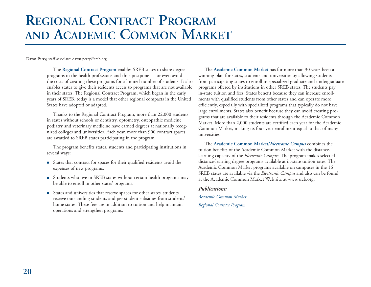# **REGIONAL CONTRACT PROGRAM AND ACADEMIC COMMON MARKET**

**Dawn Perry,** staff associate: dawn.perry@sreb.org

The **Regional Contract Program** enables SREB states to share degree programs in the health professions and thus postpone — or even avoid the costs of creating these programs for a limited number of students. It also enables states to give their residents access to programs that are not available in their states. The Regional Contract Program, which began in the early years of SREB, today is a model that other regional compacts in the United States have adopted or adapted.

Thanks to the Regional Contract Program, more than 22,000 students in states without schools of dentistry, optometry, osteopathic medicine, podiatry and veterinary medicine have earned degrees at nationally recognized colleges and universities. Each year, more than 900 contract spaces are awarded to SREB states participating in the program.

The program benefits states, students and participating institutions in several ways:

- States that contract for spaces for their qualified residents avoid the expenses of new programs.
- Students who live in SREB states without certain health programs may be able to enroll in other states' programs.
- States and universities that reserve spaces for other states' students receive outstanding students and per student subsidies from students' home states. These fees are in addition to tuition and help maintain operations and strengthen programs.

The **Academic Common Market** has for more than 30 years been a winning plan for states, students and universities by allowing students from participating states to enroll in specialized graduate and undergraduate programs offered by institutions in other SREB states. The students pay in-state tuition and fees. States benefit because they can increase enrollments with qualified students from other states and can operate more efficiently, especially with specialized programs that typically do not have large enrollments. States also benefit because they can avoid creating programs that are available to their residents through the Academic Common Market. More than 2,000 students are certified each year for the Academic Common Market, making its four-year enrollment equal to that of many universities.

The **Academic Common Market/***Electronic Campus* combines the tuition benefits of the Academic Common Market with the distancelearning capacity of the *Electronic Campus.* The program makes selected distance-learning degree programs available at in-state tuition rates. The Academic Common Market programs available on campuses in the 16 SREB states are available via the *Electronic Campus* and also can be found at the Academic Common Market Web site at www.sreb.org.

*Publications: Academic Common Market Regional Contract Program*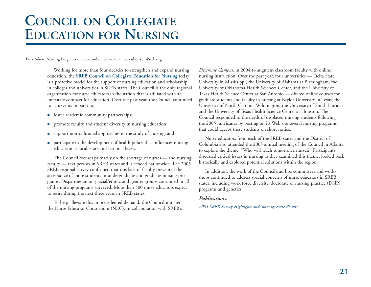# **COUNCIL ON COLLEGIATE EDUCATION FOR NURSING**

**Eula Aiken,** Nursing Programs director and executive director: eula.aiken@sreb.org

Working for more than four decades to strengthen and expand nursing education, the **SREB Council on Collegiate Education for Nursing** today is a proactive model for the support of nursing education and scholarship in colleges and universities in SREB states. The Council is the only regional organization for nurse educators in the nation that is affiliated with an interstate compact for education. Over the past year, the Council continued to achieve its mission to:

- **foster academic community partnerships;**
- **n** promote faculty and student diversity in nursing education;
- support nontraditional approaches to the study of nursing; and
- **participate in the development of health policy that influences nursing** education at local, state and national levels.

The Council focuses primarily on the shortage of nurses — and nursing faculty — that persists in SREB states and is echoed nationwide. The 2005 SREB regional survey confirmed that this lack of faculty prevented the acceptance of more students in undergraduate and graduate nursing programs. Disparities among racial/ethnic and gender groups continued in all of the nursing programs surveyed. More than 500 nurse educators expect to retire during the next three years in SREB states.

To help alleviate this unprecedented demand, the Council initiated the Nurse Educator Consortium (NEC), in collaboration with SREB's *Electronic Campus,* in 2004 to augment classroom faculty with online nursing instruction. Over the past year, four universities — Delta State University in Mississippi, the University of Alabama at Birmingham, the University of Oklahoma Health Sciences Center, and the University of Texas Health Science Center at San Antonio — offered online courses for graduate students and faculty in nursing at Baylor University in Texas, the University of North Carolina Wilmington, the University of South Florida, and the University of Texas Health Science Center at Houston. The Council responded to the needs of displaced nursing students following the 2005 hurricanes by posting on its Web site several nursing programs that could accept these students on short notice.

Nurse educators from each of the SREB states and the District of Columbia also attended the 2005 annual meeting of the Council in Atlanta to explore the theme: "Who will teach tomorrow's nurses?" Participants discussed critical issues in nursing as they examined this theme, looked back historically and explored potential solutions within the region.

In addition, the work of the Council's ad hoc committees and workshops continued to address special concerns of nurse educators in SREB states, including work force diversity, doctorate of nursing practice (DNP) programs and genetics.

### *Publications:*

*2005 SREB Survey Highlights and State-by-State Results*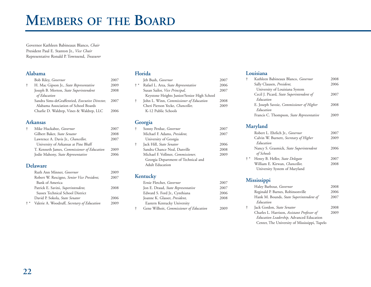# **MEMBERS OF THE BOARD**

Governor Kathleen Babineaux Blanco, *Chair* President Paul E. Stanton Jr., *Vice Chair* Representative Ronald P. Townsend, *Treasurer*

### **Alabama**

| Bob Riley, Governor                            | 2007 |
|------------------------------------------------|------|
| H. Mac Gipson Jr., State Representative        | 2009 |
| Joseph B. Morton, State Superintendent         | 2008 |
| of Education                                   |      |
| Sandra Sims-deGraffenried, Executive Director, | 2007 |
| Alabama Association of School Boards           |      |
| Charlie D. Waldrep, Vines & Waldrep, LLC       | 2006 |
|                                                |      |

### **Arkansas**

| Mike Huckabee, Governor                     | 2007 |
|---------------------------------------------|------|
| Gilbert Baker, State Senator                | 2008 |
| Lawrence A. Davis Jr., <i>Chancellor</i> ,  | 2007 |
| University of Arkansas at Pine Bluff        |      |
| T. Kenneth James, Commissioner of Education | 2009 |
| Jodie Mahony, State Representative          | 2006 |
|                                             |      |

### **Delaware**

|       | Ruth Ann Minner, Governor                   | 2009 |
|-------|---------------------------------------------|------|
|       | Robert W. Rescigno, Senior Vice President,  | 2007 |
|       | <b>Bank of America</b>                      |      |
|       | Patrick E. Savini, Superintendent,          | 2008 |
|       | Sussex Technical School District            |      |
|       | David P. Sokola, State Senator              | 2006 |
| $+ *$ | Valerie A. Woodruff, Secretary of Education | 2009 |

### **Florida**

|       | Jeb Bush, Governor                             | 2007 |
|-------|------------------------------------------------|------|
| $+ *$ | Rafael L. Arza, State Representative           | 2006 |
|       | Susan Sailor, Vice Principal,                  | 2007 |
|       | Keystone Heights Junior/Senior High School     |      |
| ÷     | John L. Winn, <i>Commissioner of Education</i> | 2008 |
|       | Cheri Pierson Yecke, Chancellor,               | 2009 |
|       | K-12 Public Schools                            |      |
|       |                                                |      |

### **Georgia**

| $\ddagger$ | Sonny Perdue, Governor              | 2007 |
|------------|-------------------------------------|------|
|            | Michael F. Adams, President,        | 2007 |
|            | University of Georgia               |      |
| ÷          | Jack Hill, State Senator            | 2006 |
|            | Sandra Chance Neal, Danville        | 2008 |
|            | Michael F. Vollmer, Commissioner,   | 2009 |
|            | Georgia Department of Technical and |      |
|            | <b>Adult Education</b>              |      |

### **Kentucky**

| Ernie Fletcher, Governor                | 2007 |
|-----------------------------------------|------|
| Jon E. Draud, State Representative      | 2007 |
| Edward S. Ford Jr., Cynthiana           | 2006 |
| Joanne K. Glasser, <i>President</i> ,   | 2008 |
| Eastern Kentucky University             |      |
| Gene Wilhoit, Commissioner of Education | 2009 |

### **Louisiana**

| t | Kathleen Babineaux Blanco, Governor       | 2008 |
|---|-------------------------------------------|------|
|   | Sally Clausen, President,                 | 2006 |
|   | University of Louisiana System            |      |
|   | Cecil J. Picard, State Superintendent of  | 2007 |
|   | Education                                 |      |
|   | E. Joseph Savoie, Commissioner of Higher  | 2008 |
|   | Education                                 |      |
|   | Francis C. Thompson, State Representative | 2009 |

### **Maryland**

|       | Robert L. Ehrlich Jr., Governor         | 2007 |
|-------|-----------------------------------------|------|
|       | Calvin W. Burnett, Secretary of Higher  | 2009 |
|       | Education                               |      |
|       | Nancy S. Grasmick, State Superintendent | 2006 |
|       | of Schools                              |      |
| $+ *$ | Henry B. Heller, State Delegate         | 2007 |
|       | William E. Kirwan, Chancellor,          | 2008 |
|       | University System of Maryland           |      |
|       |                                         |      |

### **Mississippi**

|                                               | 2008                    |
|-----------------------------------------------|-------------------------|
| Reginald P. Barnes, Robinsonville             | 2006                    |
| Hank M. Bounds, State Superintendent of       | 2007                    |
| Education                                     |                         |
| Jack Gordon, State Senator                    | 2008                    |
| Charles L. Harrison, Assistant Professor of   | 2009                    |
| Education Leadership, Advanced Education      |                         |
| Center, The University of Mississippi, Tupelo |                         |
|                                               | Haley Barbour, Governor |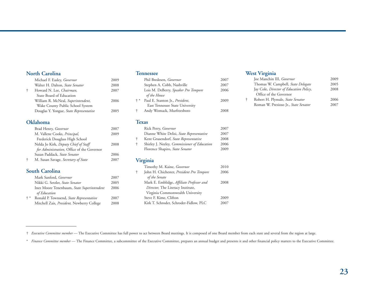### **North Carolina**

|   | Michael F. Easley, Governor             | 2009 |
|---|-----------------------------------------|------|
|   | Walter H. Dalton, State Senator         | 2008 |
| ÷ | Howard N. Lee, Chairman,                | 2007 |
|   | State Board of Education                |      |
|   | William R. McNeal, Superintendent,      | 2006 |
|   | Wake County Public School System        |      |
|   | Douglas Y. Yongue, State Representative | 2005 |
|   |                                         |      |

### **Oklahoma**

| Brad Henry, Governor                       | 2007 |
|--------------------------------------------|------|
| M. Vallene Cooks, Principal,               | 2009 |
| Frederick Douglass High School             |      |
| Nelda Jo Kirk, Deputy Chief of Staff       | 2008 |
| for Administration, Office of the Governor |      |
| Susan Paddack, State Senator               | 2006 |
| M. Susan Savage, Secretary of State        | 2007 |
|                                            |      |

### **South Carolina**

|       | Mark Sanford, Governor                     | 2007 |
|-------|--------------------------------------------|------|
|       | Nikki G. Setzler, State Senator            | 2005 |
|       | Inez Moore Tenenbaum, State Superintendent | 2006 |
|       | of Education                               |      |
| $+ *$ | Ronald P. Townsend, State Representative   | 2007 |
|       | Mitchell Zais, President, Newberry College | 2008 |
|       |                                            |      |

### **Tennessee**

|       | Phil Bredesen, Governor              | 2007 |
|-------|--------------------------------------|------|
|       | Stephen A. Cobb, Nashville           | 2007 |
|       | Lois M. DeBerry, Speaker Pro Tempore | 2006 |
|       | of the House                         |      |
| $+ *$ | Paul E. Stanton Jr., President,      | 2009 |
|       | East Tennessee State University      |      |
| Ť.    | Andy Womack, Murfreesboro            | 2008 |
|       |                                      |      |

### **Texas**

| Rick Perry, Governor                                | 2007 |
|-----------------------------------------------------|------|
| Dianne White Delisi, State Representative           | 2007 |
| Kent Grusendorf, State Representative               | 2008 |
| Shirley J. Neeley, <i>Commissioner of Education</i> | 2006 |
| Florence Shapiro, State Senator                     | 2009 |
|                                                     |      |

### **Virginia**

| Timothy M. Kaine, Governor                | 2010 |
|-------------------------------------------|------|
| John H. Chichester, President Pro Tempore | 2006 |
| of the Senate                             |      |
| Mark E. Emblidge, Affiliate Professor and | 2008 |
| Director, The Literacy Institute,         |      |
| Virginia Commonwealth University          |      |
| Steve F. Kime, Clifton                    | 2009 |
| Kirk T. Schroder, Schroder-Fidlow, PLC    | 2007 |
|                                           |      |

### **West Virginia**

| Joe Manchin III, Governor               | 2009 |
|-----------------------------------------|------|
| Thomas W. Campbell, State Delegate      | 2005 |
| Jay Cole, Director of Education Policy, | 2008 |
| Office of the Governor                  |      |
| Robert H. Plymale, State Senator        | 2006 |
| Roman W. Prezioso Jr., State Senator    | 2007 |

† *Executive Committee member* — The Executive Committee has full power to act between Board meetings. It is composed of one Board member from each state and several from the region at large.

\* *Finance Committee member* — The Finance Committee, a subcommittee of the Executive Committee, prepares an annual budget and presents it and other financial policy matters to the Executive Committee.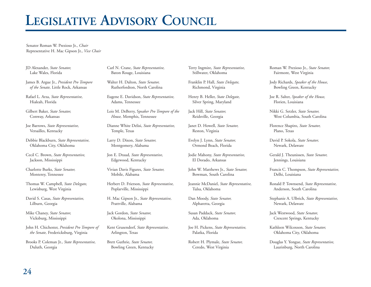# **LEGISLATIVE ADVISORY COUNCIL**

Senator Roman W. Prezioso Jr., *Chair* Representative H. Mac Gipson Jr., *Vice Chair*

JD Alexander, *State Senator,* Lake Wales, Florida

James B. Argue Jr., *President Pro Tempore of the Senate,* Little Rock, Arkansas

Rafael L. Arza, *State Representative,* Hialeah, Florida

Gilbert Baker, *State Senator,*  Conway, Arkansas

Joe Barrows, *State Representative,*  Versailles, Kentucky

Debbie Blackburn, *State Representative,* Oklahoma City, Oklahoma

Cecil C. Brown, *State Representative,* Jackson, Mississippi

Charlotte Burks, *State Senator,* Monterey, Tennessee

Thomas W. Campbell, *State Delegate,*  Lewisburg, West Virginia

David S. Casas, *State Representative,* Lilburn, Georgia

Mike Chaney, *State Senator,* Vicksburg, Mississippi

John H. Chichester, *President Pro Tempore of the Senate,* Fredericksburg, Virginia

Brooks P. Coleman Jr., *State Representative,* Duluth, Georgia

Carl N. Crane, *State Representative,*  Baton Rouge, Louisiana

Walter H. Dalton, *State Senator,* Rutherfordton, North Carolina

Eugene E. Davidson, *State Representative,* Adams, Tennessee

Lois M. DeBerry, S*peaker Pro Tempore of the House,* Memphis, Tennessee

Dianne White Delisi, *State Representative,* Temple, Texas

Larry D. Dixon, *State Senator,* Montgomery, Alabama

Jon E. Draud, *State Representative,* Edgewood, Kentucky

Vivian Davis Figures, *State Senator,* Mobile, Alabama

Herbert D. Frierson, *State Representative,* Poplarville, Mississippi

H. Mac Gipson Jr., *State Representative,* Prattville, Alabama

Jack Gordon, *State Senator,* Okolona, Mississippi

Kent Grusendorf, *State Representative,* Arlington, Texas

Brett Guthrie, *State Senator,* Bowling Green, Kentucky Terry Ingmire, *State Representative,* Stillwater, Oklahoma

Franklin P. Hall, *State Delegate,* Richmond, Virginia

Henry B. Heller, *State Delegate,* Silver Spring, Maryland

Jack Hill, *State Senator,* Reidsville, Georgia

Janet D. Howell, *State Senator,*  Reston, Virginia

Evelyn J. Lynn, *State Senator,* Ormond Beach, Florida

Jodie Mahony, *State Representative,* El Dorado, Arkansas

John W. Matthews Jr., *State Senator,* Bowman, South Carolina

Jeannie McDaniel, *State Representative,* Tulsa, Oklahoma

Dan Moody, *State Senator,* Alpharetta, Georgia

Susan Paddack, *State Senator,* Ada, Oklahoma

Joe H. Pickens, *State Representative,* Palatka, Florida

Robert H. Plymale, *State Senator,*  Ceredo, West Virginia

Roman W. Prezioso Jr., *State Senator,* Fairmont, West Virginia

Jody Richards, *Speaker of the House,* Bowling Green, Kentucky

Joe R. Salter, *Speaker of the House,* Florien, Louisiana

Nikki G. Setzler, *State Senator,* West Columbia, South Carolina

Florence Shapiro, *State Senator,* Plano, Texas

David P. Sokola, *State Senator,* Newark, Delaware

Gerald J. Theunissen, *State Senator,* Jennings, Louisiana

Francis C. Thompson, *State Representative,* Delhi, Louisiana

Ronald P. Townsend, *State Representative,* Anderson, South Carolina

Stephanie A. Ulbrich, *State Representative,* Newark, Delaware

Jack Westwood, *State Senator,* Crescent Springs, Kentucky

Kathleen Wilcoxson, *State Senator,* Oklahoma City, Oklahoma

Douglas Y. Yongue, *State Representative,* Laurinburg, North Carolina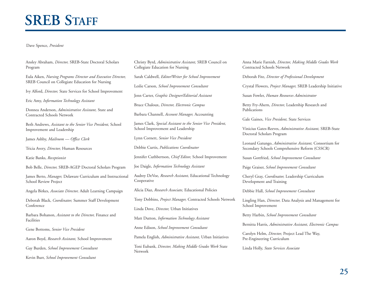# **SREB STAFF**

#### Dave Spence, *President*

Ansley Abraham, *Director,* SREB-State Doctoral Scholars Program

Eula Aiken, *Nursing Programs Director and Executive Director,* SREB Council on Collegiate Education for Nursing

Ivy Alford, *Director,* State Services for School Improvement

Eric Amy, *Information Technology Assistant*

Donnea Anderson, *Administrative Assistant,* State and Contracted Schools Network

Beth Andrews, *Assistant to the Senior Vice President,* School Improvement and Leadership

James Ashby, *Mailroom — Office Clerk*

Tricia Avery, *Director,* Human Resources

Katie Banks, *Receptionist*

Bob Belle, *Director,* SREB-AGEP Doctoral Scholars Program

James Berto, *Manager,* Delaware Curriculum and Instructional School Review Project

Angela Birkes, *Associate Director,* Adult Learning Campaign

Deborah Black, *Coordinator,* Summer Staff Development Conference

Barbara Bohanon, *Assistant to the Director,* Finance and Facilities

Gene Bottoms, *Senior Vice President*

Aaron Boyd, *Research Assistant,* School Improvement

Gay Burden, *School Improvement Consultant*

Kevin Burr, *School Improvement Consultant*

Christy Byrd, *Administrative Assistant,* SREB Council on Collegiate Education for Nursing

Sarah Caldwell, *Editor/Writer for School Improvement*

Leslie Carson, *School Improvement Consultant*

Jenn Carter, *Graphic Designer/Editorial Assistant*

Bruce Chaloux, *Director, Electronic Campus*

Barbara Channell, *Account Manager,* Accounting

James Clark, *Special Assistant to the Senior Vice President,* School Improvement and Leadership

Lynn Cornett, *Senior Vice President*

Debbie Curtis, *Publications Coordinator*

Jennifer Cuthbertson, *Chief Editor,* School Improvement

Joe Daigle, *Information Technology Assistant*

Audrey DeVoe, *Research Assistant,* Educational Technology Cooperative

Alicia Diaz, *Research Associate,* Educational Policies

Tony Dobbins, *Project Manager,* Contracted Schools Network

Linda Dove, *Director,* Urban Initiatives

Matt Dutton, *Information Technology Assistant*

Anne Edison, *School Improvement Consultant*

Pamela English, *Administrative Assistant,* Urban Initiatives

Toni Eubank, *Director, Making Middle Grades Work* State Network

Anna Marie Farnish, *Director, Making Middle Grades Work* Contracted Schools Network

Deborah Fite, *Director of Professional Development*

Crystal Flowers, *Project Manager,* SREB Leadership Initiative

Susan Fowler, *Human Resources Administrator*

Betty Fry-Ahern, *Director,* Leadership Research and Publications

Gale Gaines, *Vice President,* State Services

Vinicius Gates-Reeves, *Administrative Assistant,* SREB-State Doctoral Scholars Program

Leonard Gatungo, *Administrative Assistant,* Consortium for Secondary Schools Comprehensive Reform (CSSCR)

Susan Gottfried, *School Improvement Consultant*

Paige Graiser, *School Improvement Consultant*

Cheryl Gray, *Coordinator,* Leadership Curriculum Development and Training

Debbie Hall, *School Improvement Consultant*

Lingling Han, *Director,* Data Analysis and Management for School Improvement

Betty Harbin, *School Improvement Consultant*

Bernitta Harris, *Administrative Assistant, Electronic Campus*

Carolyn Helm, *Director,* Project Lead The Way, Pre-Engineering Curriculum

Linda Holly, *State Services Associate*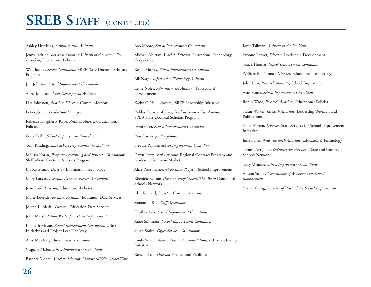# **SREB STAFF** (CONTINUED)

#### Ashley Hutchins, *Administrative Assistant*

Jenny Jackson, *Research Assistant/Assistant to the Senior Vice President,* Educational Policies

Walt Jacobs, *Senior Consultant,* SREB-State Doctoral Scholars Program

Jim Johnson, *School Improvement Consultant*

Anna Johnston, *Staff Development Assistant*

Lisa Johnston, *Associate Director,* Communications

Leticia Jones, *Production Manager*

Rebecca Daugherty Kaye, *Research Associate,* Educational Policies

Gary Keller, *School Improvement Consultant*

Tom Kluding, *State School Improvement Consultant*

Melissa Koran, *Program Accounting and Institute Coordinator,* SREB-State Doctoral Scholars Program

J.J. Kwashnak, *Director,* Information Technology

Mary Larson, *Associate Director, Electronic Campus*

Joan Lord, *Director,* Educational Policies

Marie Loverde, *Research Assistant,* Education Data Services

Joseph L. Marks, *Director,* Education Data Services

John Marsh, *Editor/Writer for School Improvement*

Kenneth Mason, *School Improvement Consultant,* Urban Initiatives and Project Lead The Way

Amy Melching, *Administrative Assistant*

Virginia Miller, *School Improvement Consultant*

Barbara Moore, *Associate Director, Making Middle Grades Work*

Bob Moore, *School Improvement Consultant*

Michael Murray, *Associate Director,* Educational Technology Cooperative

Renee Murray, *School Improvement Consultant*

Bill Nagel, *Information Technology Assistant*

Leslie Noles, *Administrative Assistant,* Professional Development

Kathy O'Neill, *Director,* SREB Leadership Initiative

Robbie Brawner-Ouzts, *Student Services Coordinator,* SREB-State Doctoral Scholars Program

Irwin Ozer, *School Improvement Consultant*

Rose Partridge, *Receptionist*

Freddie Payton, *School Improvement Consultant*

Dawn Perry, *Staff Associate,* Regional Contract Program and Academic Common Market

Alice Presson, *Special Research Projects,* School Improvement

Rhenida Rennie, *Director, High Schools That Work* Contracted Schools Network

Alan Richard, *Director,* Communications

Samantha Rife, *Staff Accountant*

Heather Sass, *School Improvement Consultant*

Anne Simmons, *School Improvement Consultant*

Susan Smith, *Office Services Coordinator*

Emily Snider, *Administrative Assistant/Editor,* SREB Leadership Initiative

Russell Steel, *Director,* Finance and Facilities

#### Joyce Tallman, *Assistant to the President*

Yvonne Thayer, *Director,* Leadership Development

Grace Thomas, *School Improvement Consultant*

William R. Thomas, *Director,* Educational Technology

John Uhn, *Research Associate,* School Improvement

Alan Veach, *School Improvement Consultant*

Robin Wade, *Research Associate,* Educational Policies

Susan Walker, *Research Associate,* Leadership Research and Publications

Scott Warren, *Director,* State Services for School Improvement Initiatives

June Pullen Weis, *Research Associate,* Educational Technology

Tammy Wright, *Administrative Assistant,* State and Contracted Schools Network

Gary Wrinkle, *School Improvement Consultant*

Allison Yasitis, *Coordinator of Assessment for School Improvement*

Marna Young, *Director of Research for School Improvement*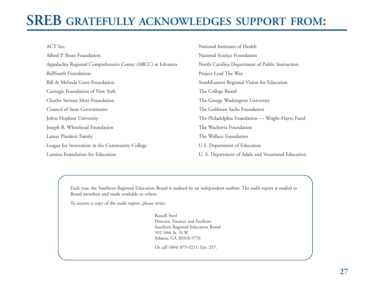# **SREB GRATEFULLY ACKNOWLEDGES SUPPORT FROM:**

| ACT Inc.                                                    | National Institutes of Health                      |
|-------------------------------------------------------------|----------------------------------------------------|
| Alfred P. Sloan Foundation                                  | National Science Foundation                        |
| Appalachia Regional Comprehensive Center (ARCC) at Edvantia | North Carolina Department of Public Instruction    |
| <b>BellSouth Foundation</b>                                 | Project Lead The Way                               |
| Bill & Melinda Gates Foundation                             | SouthEastern Regional Vision for Education         |
| Carnegie Foundation of New York                             | The College Board                                  |
| <b>Charles Stewart Mott Foundation</b>                      | The George Washington University                   |
| Council of State Governments                                | The Goldman Sachs Foundation                       |
| Johns Hopkins University                                    | The Philadelphia Foundation — Wright-Hayre Fund    |
| Joseph B. Whitehead Foundation                              | The Wachovia Foundation                            |
| Lamar Plunkett Family                                       | The Wallace Foundation                             |
| League for Innovation in the Community College              | U.S. Department of Education                       |
| Lumina Foundation for Education                             | U. S. Department of Adult and Vocational Education |

Each year, the Southern Regional Education Board is audited by an independent auditor. The audit report is mailed to Board members and made available to others.

To receive a copy of the audit report, please write:

Russell Steel Director, Finance and Facilities Southern Regional Education Board 592 10th St. N.W. Atlanta, GA 30318-5776

Or call (404) 875-9211, Ext. 257.